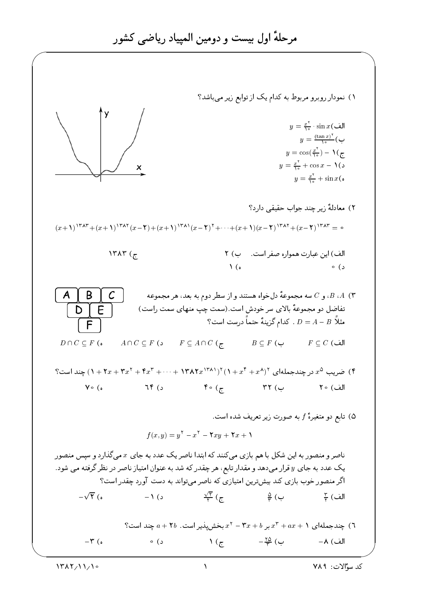۱) نمودار روبرو مربوط به کدام یک از توابع زیر می باشد؟  $y = \frac{x^{\mathsf{T}}}{\lambda} \cdot \sin x$ الف  $y = \frac{(\tan x)^{r}}{\ln x}$  $y = \cos(\frac{x^{\mathsf{T}}}{\lambda_0}) - \lambda(\mathsf{z})$  $y = \frac{x^{\mathsf{T}}}{\lambda} + \cos x - \lambda$ (د  $y = \frac{x^{\mathsf{T}}}{\lambda} + \sin x$ ٢) معادلةً زير چند جواب حقيقى دارد؟  $(x+1)^{\dagger\tau\lambda\tau}+(x+1)^{\dagger\tau\lambda\tau}(x-\tau)+(x+1)^{\dagger\tau\lambda\tau}(x-\tau)^{\tau}+\cdots+(x+1)(x-\tau)^{\dagger\tau\lambda\tau}+(x-\tau)^{\dagger\tau\lambda\tau}=0$  $\lambda$ ۳۸۳ (ج الف) این عبارت همواره صفر است. ب) ٢  $\bigwedge$  (a د) ه ، و 7) سه مجموعهٔ دل خواه هستند و از سطر دوم به بعد، هر مجموعه  $\bar{C}$  ،  $A$  (۳ B C تفاضل دو مجموعهٔ بالای سر خودش است. (سمت چپ منهای سمت راست) E D I مثلاً  $A-B$  . كدام گزینهٔ حتماً درست است؟  $D=A-B$ F  $A \cap C \subseteq F$  (  $\mathfrak{c}$   $F \subseteq A \cap C$  ( $\tau$  $D \cap C \subseteq F$  (  $B \subseteq F$  (الف $F \subseteq C$  (الف ؟) ضریب ۵۰ در چندجملهای ۱ $(1+x^*+x^*+1)$ (۱۳۸۲ $x^{(1\kappa)}$ ۱۲ + ۲۰۰۰ + ۱۳۸۲ $x^{(1\kappa+1)}$  چند است؟  $Y \circ (\circ$  $76/2$  $\mathfrak{g}\circ (\tau$  and  $\mathfrak{g}\circ \tau$  and  $\mathfrak{g}\circ \tau$ ۵) تابع دو متغیرهٔ  $f$  به صورت زیر تعریف شده است.  $f(x, y) = y^{\dagger} - x^{\dagger} - \mathbf{Y}xy + \mathbf{Y}x + \mathbf{Y}$ ناصر و منصور به این شکل با هم بازی می کنند که ابتدا ناصر یک عدد به جای  $x$  می گذارد و سپس منصور یک عدد به جای  $y$  قرار میدهد و مقدار تابع، هر چقدر که شد به عنوان امتیاز ناصر در نظر گرفته می شود. اگر منصور خوب بازی کند بیشترین امتیازی که ناصر میتواند به دست آورد چقدر است؟  $-\sqrt{Y}$  (  $-\sqrt{Y}$  (  $-\sqrt{Y}$  (  $-\sqrt{Y}$  ) (  $-\sqrt{Y}$  (  $-\sqrt{Y}$  ) (  $-\sqrt{Y}$  ) (  $-\sqrt{Y}$  ) (  $-\sqrt{Y}$  ) (  $-\sqrt{Y}$  ) (  $-\sqrt{Y}$  ) (  $-\sqrt{Y}$  ) (  $-\sqrt{Y}$  ) (  $-\sqrt{Y}$  ) (  $-\sqrt{Y}$  ) (  $-\sqrt{Y}$  ) (  $-\sqrt{Y}$  ) (  $-\sqrt{Y}$  ) (  $-\sqrt{Y}$  ) ( جندجملهای ۱ $ax + x + x + x + y = x^2 - x$  بر ۲ $x + y - x + y = x + y$  بخش یذیر است. ۲۵ + a چند است؟  $-\mathfrak{r}$  (0  $\lambda$  ( $\tau$  $-\frac{r_0}{r}$  ( ب الف) ٨−  $\circ$  (  $\circ$ 

 $\frac{1}{\sqrt{2}}$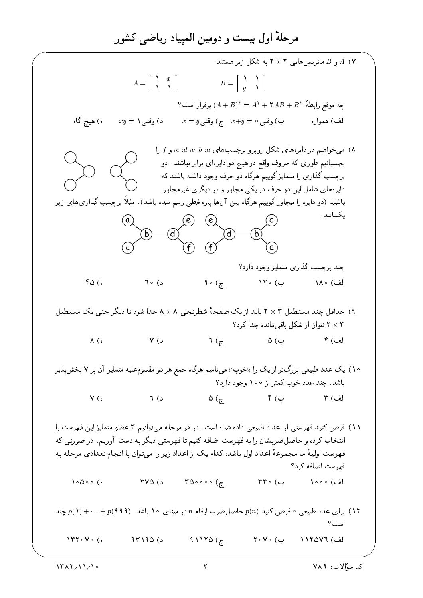، A (Y و B ماتریس هایی ۲ × ۲ به شکل زیر هستند.  $A = \left[ \begin{array}{cc} 1 & x \\ 1 & 1 \end{array} \right]$  $B = \left[ \begin{array}{cc} 1 & 1 \\ y & 1 \end{array} \right]$  $\mathbf{Y} = (A + B)^{\mathsf{T}} = A^{\mathsf{T}} + \mathsf{Y}AB + B^{\mathsf{T}}$  برقرار است ہ) ھیچ گاہ  $xy = \lambda$  د ) وقتى ۸) میخواهیم در دایرههای شکل روبرو برچسبهای a، d،c،b،a و f را بچسبانیم طوری که حروف واقع در هیچ دو دایرهای برابر نباشند. دو برچسب گذاری را متمایز گوییم هرگاه دو حرف وجود داشته باشند که دایرههای شامل این دو حرف در یکی مجاور و در دیگری غیرمجاور باشند (دو دایره را مجاور گوییم هرگاه بین آنها پارهخطی رسم شده باشد). مثلًا برچسب گذاریهای زیر ىكسانند.  $\mathcal{C}$  $(a)$ (e)  $(e)$ (c چند برچسب گذاری متمایز وجود دارد؟  $\mathcal{A} \circ (\mathcal{L})$ الف) ۱۸۰ ب) ۱۲۰  $FO($ ه د) ∘ ٦ ۹) حداقل چند مستطیل ۳ × ۲ باید از یک صفحهٔ شطرنجی ۸ × ۸ جدا شود تا دیگر حتبی یک مستطیل ۲ × ۲ نتوان از شکل باقی مانده جدا کرد؟  $7(\tau$   $\omega$  $\lambda$  ( $\delta$  $Y(3)$ الف) ۴ ۱۰) یک عدد طبیعی بزرگتر از یک را «خوب» مینامیم هرگاه جمع هر دو مقسومعلیه متمایز آن بر ۷ بخشپذیر باشد. چند عدد خوب کمتر از ۱۰۰ وجود دارد؟  $\Delta$  (  $\tau$  )  $\gamma$  )  $\zeta$  $Y(0)$  $7(j)$ الف) ۳ ۱۱) فرض کنید فهرستی از اعداد طبیعی داده شده است. در هر مرحله میتوانیم ۳ عضو متمایز این فهرست را انتخاب کرده و حاصل ضربشان را به فهرست اضافه کنیم تا فهرستی دیگر به دست آوریم. در صورتی که فهرست اوليهٔ ما مجموعهٔ اعداد اول باشد، كدام يک از اعداد زير را ميتوان با انجام تعدادي مرحله به فهرست اضافه کرد؟  $r_{0}$ ۰۰۰ (ج  $\bigwedge \circ \bigtriangleup \circ \circ (\circ$  $\Gamma$  Y  $\Delta$  (3)  $\mathsf{r}\mathsf{r}\circ\mathsf{r}$ الف) ٥٥٥( ا) برای عدد طبیعی n فرض کنید (p(n حاصل ضرب ارقام n در مبنای ۱۰ باشد. (۹۹۹) + ۰۰۰+ (۱) چند است ؟ الف) ١١٢٥٧٦ ب) ٢٠٧٠  $1470V06$  $95190(5$ 91150 $(7)$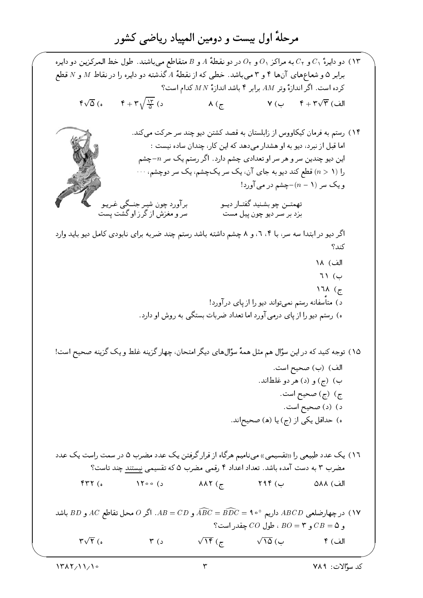ا) دو دايرهٔ ٢٠ و ٢٠ به مراكز ٥٠ و ٥٠ در دو نقطهٔ 4 و B متقاطع مى باشند. طول خط المركزين دو دايره برابر ۵ وشعاعهای آنها ۴ و ۳ میباشد. خطی که از نقطهٔ A گذشته دو دایره را در نقاط M و N قطع کرده است. اگر اندازهٔ وتر  $AM$  برابر ۴ باشد اندازهٔ  $MN$  کدام است؟  $\sqrt{\Delta}$  (s  $\sqrt{\frac{1\pi}{\Delta}}$  (s)  $V ($ الف)  $\overline{r} + r\sqrt{r}$  (الف  $\lambda$  ( $\tau$ ۱۴) رستم به فرمان کیکاووس از زابلستان به قصد کشتن دیو چند سر حرکت می کند. اما قبل از نبرد، دیو به او هشدار می دهد که این کار، چندان ساده نیست : این دیو چندین سر و هر سر او تعدادی چشم دارد. اگر رستم یک سر  $n$ جشم را (1 < n) قطع كند ديو به جاي آن، يك سريكچشم، يك سر دوچشم، . . . و یک سر  $-(n-1)$ جشم در مے آورد! برآورد چون شیر جنــگی غـریـو<br>سر و مغزش از گرزاو گشت پست تهمتــن چو بشـنيد گفتــار ديــو بزد بر سـر ديو چون پيل مست اگر دیو در ابتدا سه سر، با ۰۴، و ۸ چشم داشته باشد رستم چند ضربه برای نابودی کامل دیو باید وارد کند؟ الف) ١٨  $71$  (  $17\lambda$  ( $\tau$ د) متأسفانه رستم نمیتواند دیو را از پای درآورد! ه) رستم دیو را از پای درمی آورد اما تعداد ضربات بستگی به روش او دارد. ۱۵) توجه کنید که در این سؤال هم مثل همهٔ سؤالهای دیگر امتحان، چهار گزینه غلط و یک گزینه صحیح است! الف) (ب) صحيح است. ب) (ج) و (د) هر دو غلطاند. ج) (ج) صحيح است. د) (د) صحيح است. ه) حداقل یکی از (ج) یا (ه) صحیحاند. ١٦) یک عدد طبیعی را «تقسیمی» مینامیم هرگاه از قرار گرفتن یک عدد مضرب ۵ در سمت راست یک عدد مضرب ۳ به دست آمده باشد. تعداد اعداد ۴ رقمی مضرب ۵ که تقسیمی نیستند چند تاست؟  $FTC<sub>o</sub>$  $\sqrt{1700}$  (3)  $\lambda \lambda \Upsilon$  ( $\tau$ )  $YAP$  ( الف) ٨٨٨ داریم ° ه AB داریم ° ه AB داریم ° ه AB د AB و AB و AB داریم ° ه AB داریم ° ه AC داریم ° ه AC داریم ° ه AC دار و C $B = C$  و B $O = B$  ، طول  $CO$  چقدر است؟  $\sqrt{15}$  ( $\tau$  $\sqrt{r}$  (0  $r_{s}$  $\sqrt{20}$  (ب الف) ۴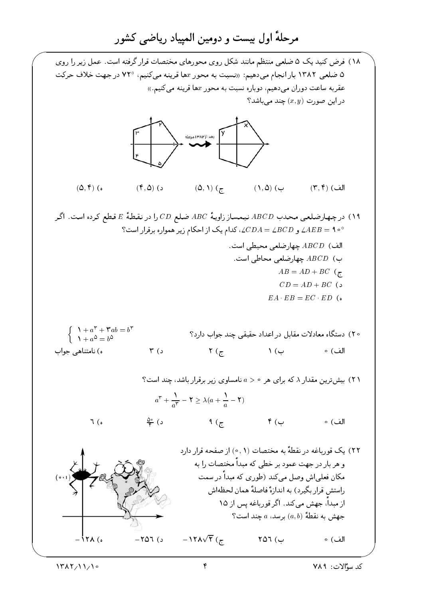۱۸) فرض کنید یک ۵ ضلعی منتظم مانند شکل روی محورهای مختصات قرار گرفته است. عمل زیر را روی ۵ ضلعی ۱۳۸۲ بار انجام می دهیم: «نسبت به محور xها قرینه می کنیم، °۷۲ در جهت خلاف حرکت عقربه ساعت دوران میدهیم، دوباره نسبت به محور xها قرینه میکنیم.»  $\S$  در این صورت  $(x, y)$  چند می باشد بعد از ۱۳۸۲ مرمله  $(\Delta, 1)$   $(\tau)$  $(f, \Delta)$  ( د  $(\Delta, \mathbf{f})$  (ه  $( \Lambda, \Delta )$   $( \Delta )$  $(\mathsf{r},\mathsf{r})$  (الف ۱۹) درچهارضلعی محدب ABCD نیمساز زاویهٔ ABC ضلع CD را در نقطهٔ E قطع کرده است. اگر الف) ABCD جهارضلعی محیطی است. ب)  $ABCD$  جهارضلعی محاطی است.  $AB = AD + BC$  ( $\tau$  $CD = AD + BC$  (5)  $EA$   $EB = EC$   $ED$  (  $\begin{cases} \lambda + a^{\dagger} + \mathbf{r}ab = b^{\dagger} \\ \lambda + a^{\delta} = b^{\delta} \end{cases}$ ۲۰) دستگاه معادلات مقابل در اعداد حقیقی چند جواب دارد؟  $\gamma$  (  $\zeta$  ) (  $\zeta$ الف) ہ ه) نامتناهی جواب  $\uparrow$  ( د ۲۱) بیش ترین مقدار ۸ که برای هر ۰ < a نامساوی زیر برقرار باشد، چند است؟  $a^{\mathsf{T}} + \frac{1}{a^{\mathsf{T}}} - \mathsf{Y} \geq \lambda(a + \frac{1}{a} - \mathsf{Y})$  $\frac{\Delta \circ}{\varphi}$  ( د  $\uparrow$  (  $\cup$  $7(0)$  $9\left(7\right)$ الف) ہ ۲۲) یک قورباغه در نقطهٔ به مختصات (۰٫۱) از صفحه قرار دارد و هر بار در جهت عمود بر خطی که مبدأ مختصات را به مکان فعلے اش وصل مے کند (طوری که مبداً در سمت راستش قرار بگیرد) به اندازهٔ فاصلهٔ همان لحظهاش از میداً، جهش مے کند. اگر قوریاغه پس از ۱۵ جهش به نقطهٔ  $(a, b)$  برسد،  $a$  چند است؟  $-11\sqrt{r}$  ( $\tau$  $\lambda$   $\lambda$  (0  $-707$  (د) ب) ۲۵٦ الف) ہ

۴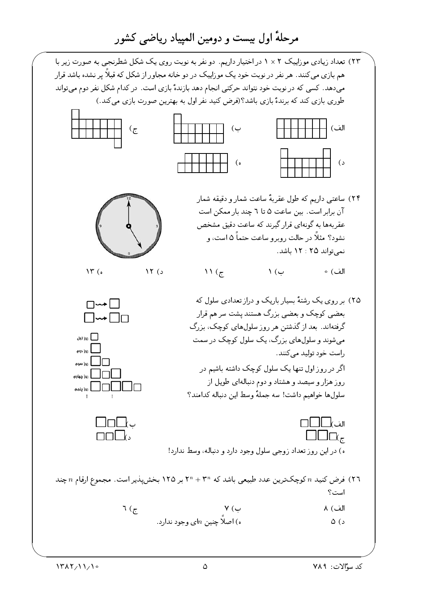۲۳) تعداد زیادی موزاییک ۲ × ۱ در اختیار داریم. دو نفر به نوبت روی یک شکل شطرنجی به صورت زیر با هم بازی میکنند. هر نفر در نوبت خود یک موزاییک در دو خانه مجاور از شکل که قبلاً پر نشده باشد قرار میدهد. کسی که در نوبت خود نتواند حرکتی انجام دهد بازندهٔ بازی است. در کدام شکل نفر دوم میتواند طوری بازی کند که برندهٔ بازی باشد؟(فرض کنید نفر اول به بهترین صورت بازی میکند.)